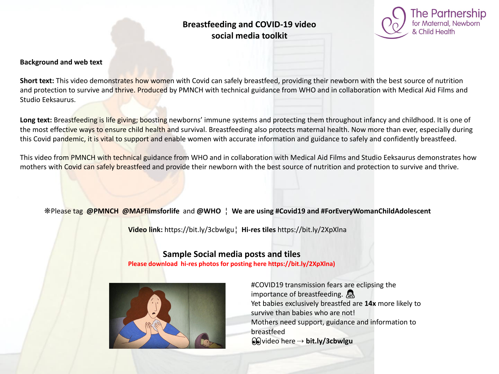# **Breastfeeding and COVID-19 video social media toolkit**

### **Background and web text**

**Short text:** This video demonstrates how women with Covid can safely breastfeed, providing their newborn with the best source of nutrition and protection to survive and thrive. Produced by PMNCH with technical guidance from WHO and in collaboration with Medical Aid Films and Studio Eeksaurus.

Long text: Breastfeeding is life giving; boosting newborns' immune systems and protecting them throughout infancy and childhood. It is one of the most effective ways to ensure child health and survival. Breastfeeding also protects maternal health. Now more than ever, especially during this Covid pandemic, it is vital to support and enable women with accurate information and guidance to safely and confidently breastfeed.

This video from PMNCH with technical guidance from WHO and in collaboration with Medical Aid Films and Studio Eeksaurus demonstrates how mothers with Covid can safely breastfeed and provide their newborn with the best source of nutrition and protection to survive and thrive.

## ❋Please tag **@PMNCH @MAFfilmsforlife** and **@WHO** ¦ **We are using #Covid19 and #ForEveryWomanChildAdolescent**

**Video link:** https://bit.ly/3cbwlgu¦ **Hi-res tiles** https://bit.ly/2XpXlna

## **Sample Social media posts and tiles Please download hi-res photos for posting here https://bit.ly/2XpXlna)**



#COVID19 transmission fears are eclipsing the importance of breastfeeding. Yet babies exclusively breastfed are **14x** more likely to survive than babies who are not! Mothers need support, guidance and information to breastfeed video here ⇢ **bit.ly/3cbwlgu**